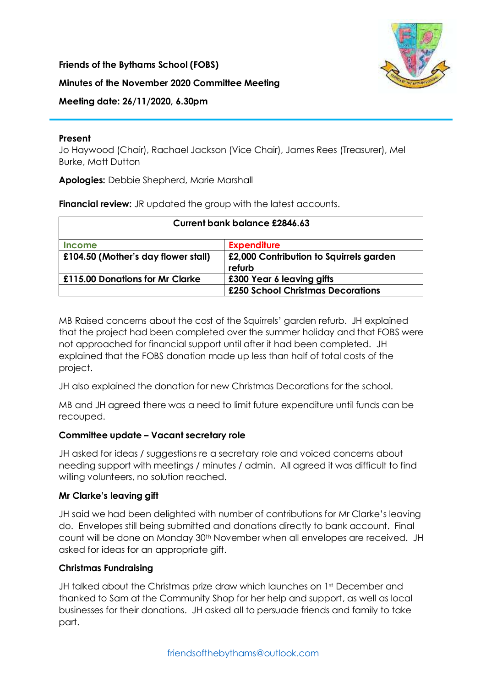**Friends of the Bythams School (FOBS)**



### **Minutes of the November 2020 Committee Meeting**

**Meeting date: 26/11/2020, 6.30pm**

### **Present**

Jo Haywood (Chair), Rachael Jackson (Vice Chair), James Rees (Treasurer), Mel Burke, Matt Dutton

**Apologies:** Debbie Shepherd, Marie Marshall

**Financial review:** JR updated the group with the latest accounts.

| <b>Current bank balance £2846.63</b> |                                         |
|--------------------------------------|-----------------------------------------|
| <b>Income</b>                        | <b>Expenditure</b>                      |
| £104.50 (Mother's day flower stall)  | £2,000 Contribution to Squirrels garden |
| £115.00 Donations for Mr Clarke      | refurb<br>£300 Year 6 leaving gifts     |
|                                      | £250 School Christmas Decorations       |

MB Raised concerns about the cost of the Squirrels' garden refurb. JH explained that the project had been completed over the summer holiday and that FOBS were not approached for financial support until after it had been completed. JH explained that the FOBS donation made up less than half of total costs of the project.

JH also explained the donation for new Christmas Decorations for the school.

MB and JH agreed there was a need to limit future expenditure until funds can be recouped.

# **Committee update – Vacant secretary role**

JH asked for ideas / suggestions re a secretary role and voiced concerns about needing support with meetings / minutes / admin. All agreed it was difficult to find willing volunteers, no solution reached.

# **Mr Clarke's leaving gift**

JH said we had been delighted with number of contributions for Mr Clarke's leaving do. Envelopes still being submitted and donations directly to bank account. Final count will be done on Monday 30th November when all envelopes are received. JH asked for ideas for an appropriate gift.

# **Christmas Fundraising**

JH talked about the Christmas prize draw which launches on 1st December and thanked to Sam at the Community Shop for her help and support, as well as local businesses for their donations. JH asked all to persuade friends and family to take part.